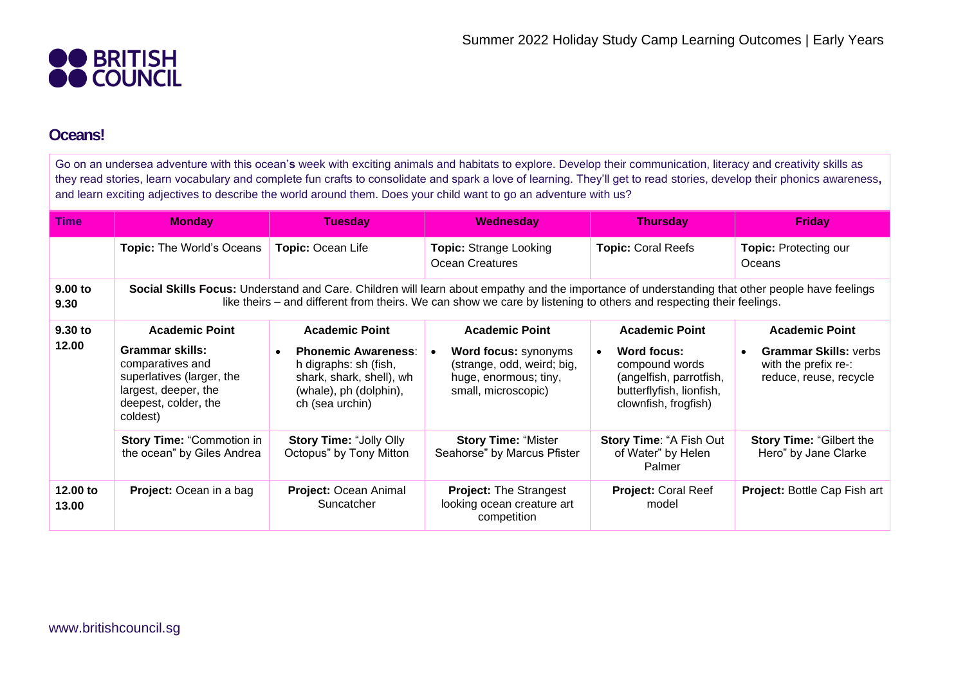

## **Oceans!**

Go on an undersea adventure with this ocean'**s** week with exciting animals and habitats to explore. Develop their communication, literacy and creativity skills as they read stories, learn vocabulary and complete fun crafts to consolidate and spark a love of learning. They'll get to read stories, develop their phonics awareness**,** and learn exciting adjectives to describe the world around them. Does your child want to go an adventure with us?

| <b>Time</b>       | <b>Monday</b>                                                                                                                                                                                                                                                         | <b>Tuesday</b>                                                                                                               | Wednesday                                                                                                 | <b>Thursday</b>                                                                                              | <b>Friday</b>                                                                  |  |  |  |
|-------------------|-----------------------------------------------------------------------------------------------------------------------------------------------------------------------------------------------------------------------------------------------------------------------|------------------------------------------------------------------------------------------------------------------------------|-----------------------------------------------------------------------------------------------------------|--------------------------------------------------------------------------------------------------------------|--------------------------------------------------------------------------------|--|--|--|
|                   | <b>Topic: The World's Oceans</b>                                                                                                                                                                                                                                      | Topic: Ocean Life                                                                                                            | <b>Topic: Strange Looking</b><br><b>Ocean Creatures</b>                                                   | <b>Topic: Coral Reefs</b>                                                                                    | <b>Topic: Protecting our</b><br>Oceans                                         |  |  |  |
| 9.00 to<br>9.30   | Social Skills Focus: Understand and Care. Children will learn about empathy and the importance of understanding that other people have feelings<br>like theirs – and different from theirs. We can show we care by listening to others and respecting their feelings. |                                                                                                                              |                                                                                                           |                                                                                                              |                                                                                |  |  |  |
| 9.30 to<br>12.00  | <b>Academic Point</b>                                                                                                                                                                                                                                                 | <b>Academic Point</b>                                                                                                        | <b>Academic Point</b>                                                                                     | <b>Academic Point</b>                                                                                        | <b>Academic Point</b>                                                          |  |  |  |
|                   | Grammar skills:<br>comparatives and<br>superlatives (larger, the<br>largest, deeper, the<br>deepest, colder, the<br>coldest)                                                                                                                                          | <b>Phonemic Awareness:</b><br>h digraphs: sh (fish,<br>shark, shark, shell), wh<br>(whale), ph (dolphin),<br>ch (sea urchin) | <b>Word focus: synonyms</b><br>(strange, odd, weird; big,<br>huge, enormous; tiny,<br>small, microscopic) | Word focus:<br>compound words<br>(angelfish, parrotfish,<br>butterflyfish, lionfish,<br>clownfish, frogfish) | <b>Grammar Skills: verbs</b><br>with the prefix re-:<br>reduce, reuse, recycle |  |  |  |
|                   | <b>Story Time: "Commotion in</b><br>the ocean" by Giles Andrea                                                                                                                                                                                                        | <b>Story Time: "Jolly Olly</b><br>Octopus" by Tony Mitton                                                                    | <b>Story Time: "Mister</b><br>Seahorse" by Marcus Pfister                                                 | Story Time: "A Fish Out<br>of Water" by Helen<br>Palmer                                                      | <b>Story Time: "Gilbert the</b><br>Hero" by Jane Clarke                        |  |  |  |
| 12.00 to<br>13.00 | Project: Ocean in a bag                                                                                                                                                                                                                                               | <b>Project: Ocean Animal</b><br>Suncatcher                                                                                   | <b>Project: The Strangest</b><br>looking ocean creature art<br>competition                                | <b>Project: Coral Reef</b><br>model                                                                          | <b>Project: Bottle Cap Fish art</b>                                            |  |  |  |